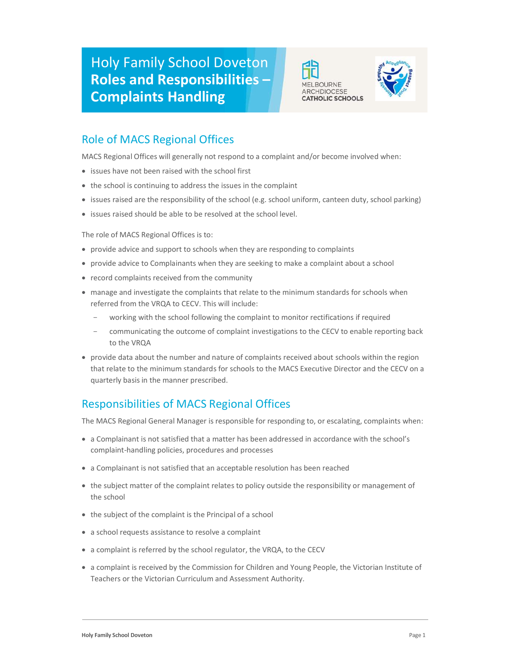



# Role of MACS Regional Offices

MACS Regional Offices will generally not respond to a complaint and/or become involved when:

- issues have not been raised with the school first
- the school is continuing to address the issues in the complaint
- issues raised are the responsibility of the school (e.g. school uniform, canteen duty, school parking)
- issues raised should be able to be resolved at the school level.

The role of MACS Regional Offices is to:

- provide advice and support to schools when they are responding to complaints
- provide advice to Complainants when they are seeking to make a complaint about a school
- record complaints received from the community
- manage and investigate the complaints that relate to the minimum standards for schools when referred from the VRQA to CECV. This will include:
	- working with the school following the complaint to monitor rectifications if required
	- communicating the outcome of complaint investigations to the CECV to enable reporting back to the VRQA
- provide data about the number and nature of complaints received about schools within the region that relate to the minimum standards for schools to the MACS Executive Director and the CECV on a quarterly basis in the manner prescribed.

## Responsibilities of MACS Regional Offices

The MACS Regional General Manager is responsible for responding to, or escalating, complaints when:

- a Complainant is not satisfied that a matter has been addressed in accordance with the school's complaint-handling policies, procedures and processes
- a Complainant is not satisfied that an acceptable resolution has been reached
- the subject matter of the complaint relates to policy outside the responsibility or management of the school
- the subject of the complaint is the Principal of a school
- a school requests assistance to resolve a complaint
- a complaint is referred by the school regulator, the VRQA, to the CECV
- a complaint is received by the Commission for Children and Young People, the Victorian Institute of Teachers or the Victorian Curriculum and Assessment Authority.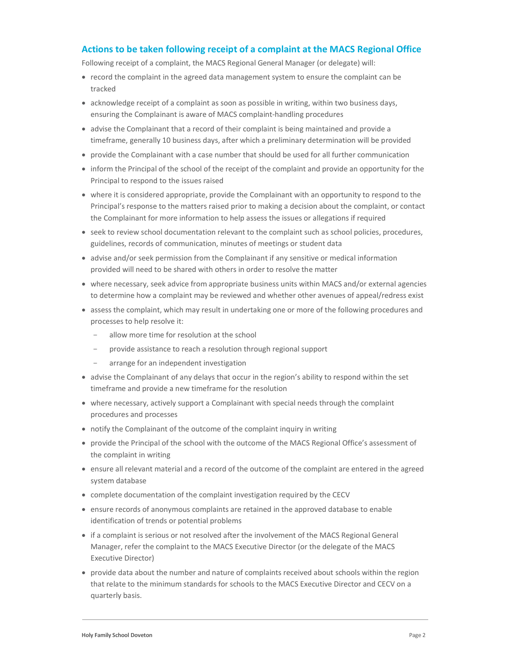#### Actions to be taken following receipt of a complaint at the MACS Regional Office

Following receipt of a complaint, the MACS Regional General Manager (or delegate) will:

- record the complaint in the agreed data management system to ensure the complaint can be tracked
- acknowledge receipt of a complaint as soon as possible in writing, within two business days, ensuring the Complainant is aware of MACS complaint-handling procedures
- advise the Complainant that a record of their complaint is being maintained and provide a timeframe, generally 10 business days, after which a preliminary determination will be provided
- provide the Complainant with a case number that should be used for all further communication
- inform the Principal of the school of the receipt of the complaint and provide an opportunity for the Principal to respond to the issues raised
- where it is considered appropriate, provide the Complainant with an opportunity to respond to the Principal's response to the matters raised prior to making a decision about the complaint, or contact the Complainant for more information to help assess the issues or allegations if required
- seek to review school documentation relevant to the complaint such as school policies, procedures, guidelines, records of communication, minutes of meetings or student data
- advise and/or seek permission from the Complainant if any sensitive or medical information provided will need to be shared with others in order to resolve the matter
- where necessary, seek advice from appropriate business units within MACS and/or external agencies to determine how a complaint may be reviewed and whether other avenues of appeal/redress exist
- assess the complaint, which may result in undertaking one or more of the following procedures and processes to help resolve it:
	- allow more time for resolution at the school
	- provide assistance to reach a resolution through regional support
	- arrange for an independent investigation
- advise the Complainant of any delays that occur in the region's ability to respond within the set timeframe and provide a new timeframe for the resolution
- where necessary, actively support a Complainant with special needs through the complaint procedures and processes
- notify the Complainant of the outcome of the complaint inquiry in writing
- provide the Principal of the school with the outcome of the MACS Regional Office's assessment of the complaint in writing
- ensure all relevant material and a record of the outcome of the complaint are entered in the agreed system database
- complete documentation of the complaint investigation required by the CECV
- ensure records of anonymous complaints are retained in the approved database to enable identification of trends or potential problems
- if a complaint is serious or not resolved after the involvement of the MACS Regional General Manager, refer the complaint to the MACS Executive Director (or the delegate of the MACS Executive Director)
- provide data about the number and nature of complaints received about schools within the region that relate to the minimum standards for schools to the MACS Executive Director and CECV on a quarterly basis.